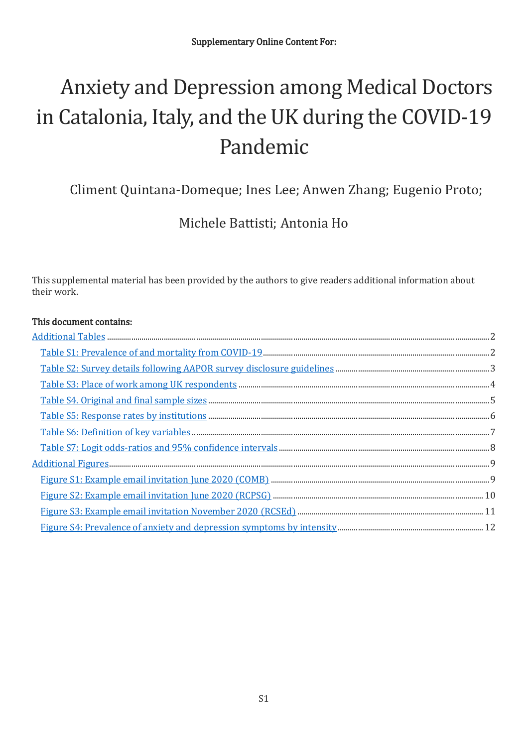# Anxiety and Depression among Medical Doctors in Catalonia, Italy, and the UK during the COVID-19 Pandemic

Climent Quintana-Domeque; Ines Lee; Anwen Zhang; Eugenio Proto;

Michele Battisti; Antonia Ho

This supplemental material has been provided by the authors to give readers additional information about their work.

#### This document contains: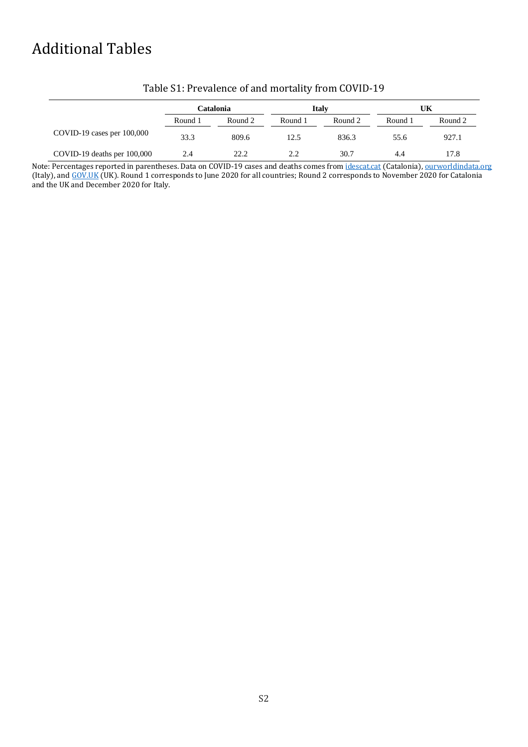# <span id="page-1-0"></span>Additional Tables

|                                | Catalonia |         |         | <b>Italy</b> | UK      |         |
|--------------------------------|-----------|---------|---------|--------------|---------|---------|
|                                | Round 1   | Round 2 | Round 1 | Round 2      | Round 1 | Round 2 |
| $COVID-19$ cases per $100,000$ | 33.3      | 809.6   | 12.5    | 836.3        | 55.6    | 927.1   |
| COVID-19 deaths per 100,000    | 2.4       | 22.2    | 2.2     | 30.7         | 4.4     | 17.8    |

## Table S1: Prevalence of and mortality from COVID-19

Note: Percentages reported in parentheses. Data on COVID-19 cases and deaths comes fro[m idescat.cat](https://www.idescat.cat/indicadors/?id=anuals&n=13746) (Catalonia), [ourworldindata.org](https://ourworldindata.org/) (Italy), and [GOV.UK](https://coronavirus.data.gov.uk/) (UK). Round 1 corresponds to June 2020 for all countries; Round 2 corresponds to November 2020 for Catalonia and the UK and December 2020 for Italy.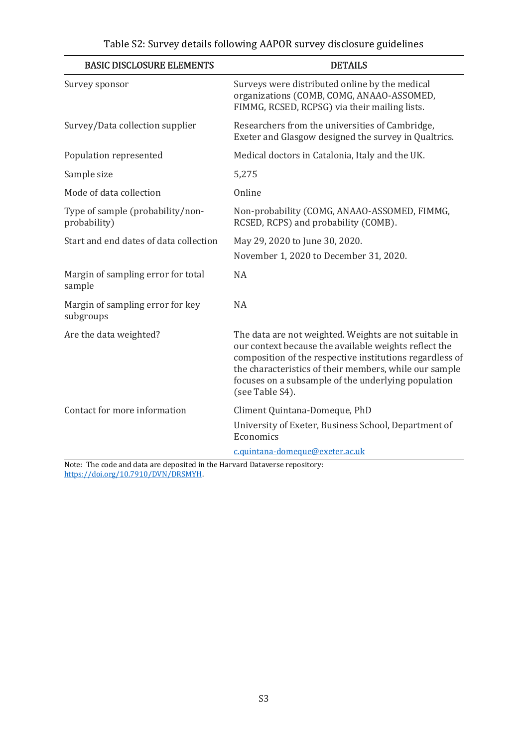| <b>BASIC DISCLOSURE ELEMENTS</b>                 | <b>DETAILS</b>                                                                                                                                                                                                                                                                                                  |
|--------------------------------------------------|-----------------------------------------------------------------------------------------------------------------------------------------------------------------------------------------------------------------------------------------------------------------------------------------------------------------|
| Survey sponsor                                   | Surveys were distributed online by the medical<br>organizations (COMB, COMG, ANAAO-ASSOMED,<br>FIMMG, RCSED, RCPSG) via their mailing lists.                                                                                                                                                                    |
| Survey/Data collection supplier                  | Researchers from the universities of Cambridge,<br>Exeter and Glasgow designed the survey in Qualtrics.                                                                                                                                                                                                         |
| Population represented                           | Medical doctors in Catalonia, Italy and the UK.                                                                                                                                                                                                                                                                 |
| Sample size                                      | 5,275                                                                                                                                                                                                                                                                                                           |
| Mode of data collection                          | Online                                                                                                                                                                                                                                                                                                          |
| Type of sample (probability/non-<br>probability) | Non-probability (COMG, ANAAO-ASSOMED, FIMMG,<br>RCSED, RCPS) and probability (COMB).                                                                                                                                                                                                                            |
| Start and end dates of data collection           | May 29, 2020 to June 30, 2020.                                                                                                                                                                                                                                                                                  |
|                                                  | November 1, 2020 to December 31, 2020.                                                                                                                                                                                                                                                                          |
| Margin of sampling error for total<br>sample     | <b>NA</b>                                                                                                                                                                                                                                                                                                       |
| Margin of sampling error for key<br>subgroups    | <b>NA</b>                                                                                                                                                                                                                                                                                                       |
| Are the data weighted?                           | The data are not weighted. Weights are not suitable in<br>our context because the available weights reflect the<br>composition of the respective institutions regardless of<br>the characteristics of their members, while our sample<br>focuses on a subsample of the underlying population<br>(see Table S4). |
| Contact for more information                     | Climent Quintana-Domeque, PhD                                                                                                                                                                                                                                                                                   |
|                                                  | University of Exeter, Business School, Department of<br>Economics                                                                                                                                                                                                                                               |
|                                                  | c.quintana-domeque@exeter.ac.uk                                                                                                                                                                                                                                                                                 |

Note: The code and data are deposited in the Harvard Dataverse repository: [https://doi.org/10.7910/DVN/DRSMYH.](https://doi.org/10.7910/DVN/DRSMYH)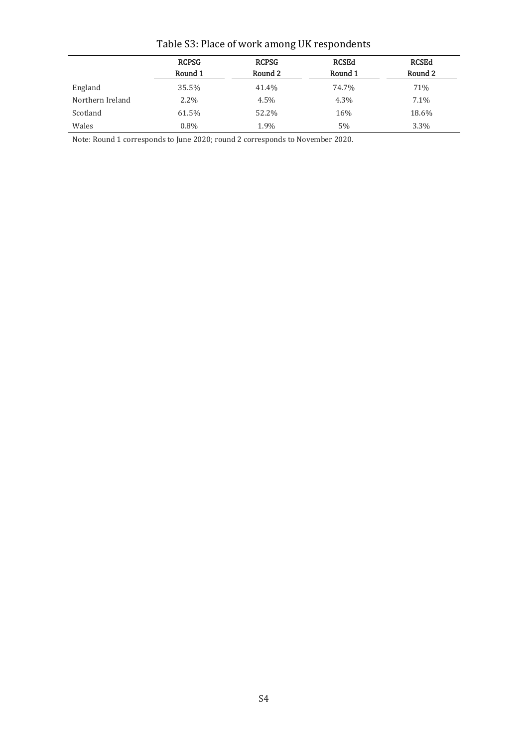|                  | <b>RCPSG</b><br><b>RCPSG</b><br>Round 1<br>Round 2 |       | <b>RCSEd</b><br>Round 1 | <b>RCSEd</b><br>Round 2 |  |
|------------------|----------------------------------------------------|-------|-------------------------|-------------------------|--|
|                  |                                                    |       |                         |                         |  |
| England          | 35.5%                                              | 41.4% | 74.7%                   | 71%                     |  |
| Northern Ireland | $2.2\%$                                            | 4.5%  | 4.3%                    | $7.1\%$                 |  |
| Scotland         | 61.5%                                              | 52.2% | 16%                     | 18.6%                   |  |
| Wales            | $0.8\%$                                            | 1.9%  | 5%                      | $3.3\%$                 |  |

# Table S3: Place of work among UK respondents

Note: Round 1 corresponds to June 2020; round 2 corresponds to November 2020.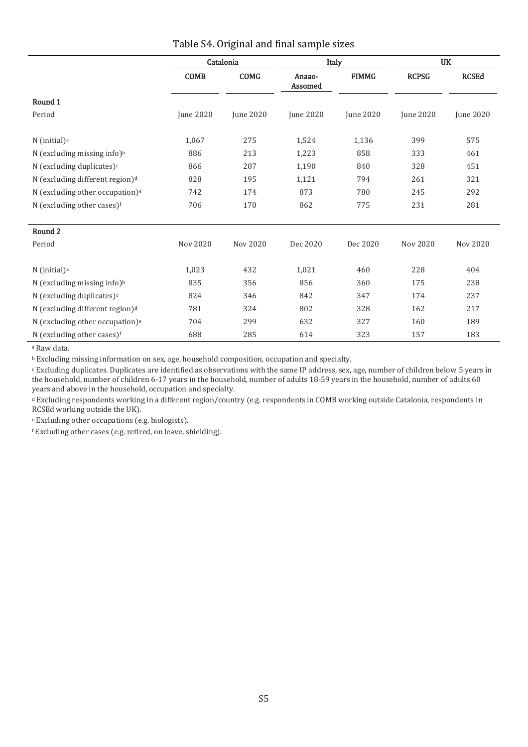|                                             | Catalonia<br>Italy<br><b>COMG</b><br><b>COMB</b><br><b>FIMMG</b><br>Anaao-<br>Assomed |                  |                  |                  | <b>UK</b>        |                  |
|---------------------------------------------|---------------------------------------------------------------------------------------|------------------|------------------|------------------|------------------|------------------|
|                                             |                                                                                       |                  |                  | <b>RCPSG</b>     | <b>RCSEd</b>     |                  |
| Round 1                                     |                                                                                       |                  |                  |                  |                  |                  |
| Period                                      | June 2020                                                                             | <b>June 2020</b> | <b>June 2020</b> | <b>June 2020</b> | <b>June 2020</b> | <b>June 2020</b> |
| N (initial) <sup>a</sup>                    | 1,067                                                                                 | 275              | 1,524            | 1,136            | 399              | 575              |
| N (excluding missing info) <sup>b</sup>     | 886                                                                                   | 213              | 1,223            | 858              | 333              | 461              |
| N (excluding duplicates) $c$                | 866                                                                                   | 207              | 1,190            | 840              | 328              | 451              |
| N (excluding different region) <sup>d</sup> | 828                                                                                   | 195              | 1,121            | 794              | 261              | 321              |
| N (excluding other occupation) <sup>e</sup> | 742                                                                                   | 174              | 873              | 780              | 245              | 292              |
| N (excluding other cases)f                  | 706                                                                                   | 170              | 862              | 775              | 231              | 281              |
| Round 2                                     |                                                                                       |                  |                  |                  |                  |                  |
| Period                                      | Nov 2020                                                                              | Nov 2020         | Dec 2020         | Dec 2020         | Nov 2020         | Nov 2020         |
| $N$ (initial) <sup>a</sup>                  | 1,023                                                                                 | 432              | 1,021            | 460              | 228              | 404              |
| N (excluding missing info) <sup>b</sup>     | 835                                                                                   | 356              | 856              | 360              |                  | 238              |
| N (excluding duplicates) $c$                | 824                                                                                   | 346              | 842              | 347              |                  | 237              |
| N (excluding different region) <sup>d</sup> | 781                                                                                   | 324              | 802              | 328              | 162              | 217              |
| N (excluding other occupation) <sup>e</sup> | 704                                                                                   | 299              | 632              | 327              | 160              | 189              |
| N (excluding other cases)f                  | 688                                                                                   | 285              | 614              | 323              | 157              | 183              |

#### Table S4. Original and final sample sizes

<sup>a</sup> Raw data.

<sup>b</sup> Excluding missing information on sex, age, household composition, occupation and specialty.

<sup>c</sup> Excluding duplicates. Duplicates are identified as observations with the same IP address, sex, age, number of children below 5 years in the household, number of children 6-17 years in the household, number of adults 18-59 years in the household, number of adults 60 years and above in the household, occupation and specialty.

<sup>d</sup> Excluding respondents working in a different region/country (e.g. respondents in COMB working outside Catalonia, respondents in RCSEd working outside the UK).

<sup>e</sup> Excluding other occupations (e.g. biologists).

<sup>f</sup> Excluding other cases (e.g. retired, on leave, shielding).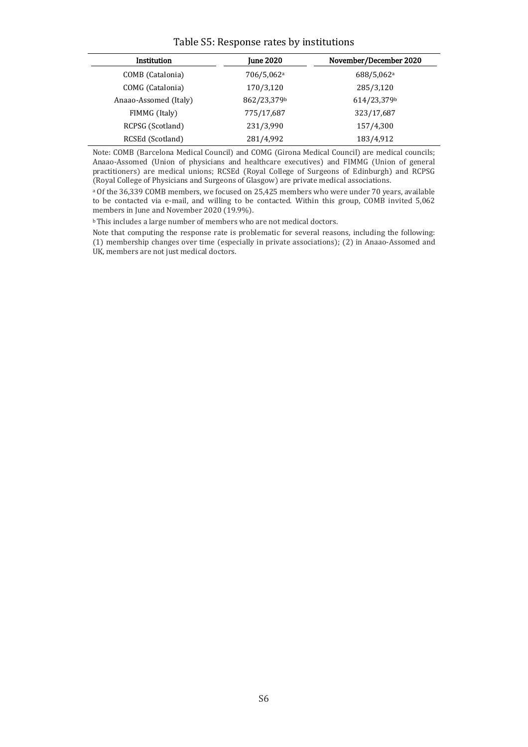#### Table S5: Response rates by institutions

| Institution           | <b>June 2020</b>       | November/December 2020 |  |  |  |
|-----------------------|------------------------|------------------------|--|--|--|
| COMB (Catalonia)      | 706/5,062 <sup>a</sup> | 688/5,062a             |  |  |  |
| COMG (Catalonia)      | 170/3,120              | 285/3,120              |  |  |  |
| Anaao-Assomed (Italy) | 862/23,379b            | 614/23,379b            |  |  |  |
| FIMMG (Italy)         | 775/17,687             | 323/17,687             |  |  |  |
| RCPSG (Scotland)      | 231/3,990              | 157/4,300              |  |  |  |
| RCSEd (Scotland)      | 281/4,992              | 183/4,912              |  |  |  |

Note: COMB (Barcelona Medical Council) and COMG (Girona Medical Council) are medical councils; Anaao-Assomed (Union of physicians and healthcare executives) and FIMMG (Union of general practitioners) are medical unions; RCSEd (Royal College of Surgeons of Edinburgh) and RCPSG (Royal College of Physicians and Surgeons of Glasgow) are private medical associations.

<sup>a</sup> Of the 36,339 COMB members, we focused on 25,425 members who were under 70 years, available to be contacted via e-mail, and willing to be contacted. Within this group, COMB invited 5,062 members in June and November 2020 (19.9%).

b This includes a large number of members who are not medical doctors.

Note that computing the response rate is problematic for several reasons, including the following: (1) membership changes over time (especially in private associations); (2) in Anaao-Assomed and UK, members are not just medical doctors.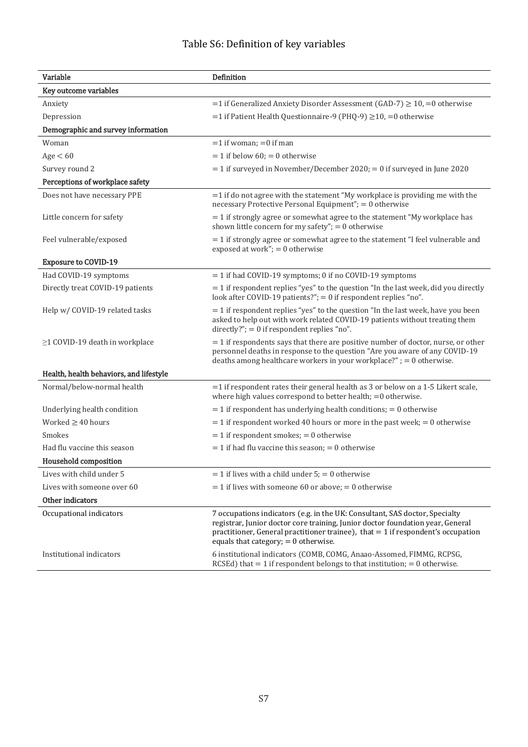# Table S6: Definition of key variables

| Variable                                | Definition                                                                                                                                                                                                                                                                                    |
|-----------------------------------------|-----------------------------------------------------------------------------------------------------------------------------------------------------------------------------------------------------------------------------------------------------------------------------------------------|
| Key outcome variables                   |                                                                                                                                                                                                                                                                                               |
| Anxiety                                 | $=$ 1 if Generalized Anxiety Disorder Assessment (GAD-7) $\geq$ 10, $=$ 0 otherwise                                                                                                                                                                                                           |
| Depression                              | =1 if Patient Health Questionnaire-9 (PHQ-9) $\geq$ 10, =0 otherwise                                                                                                                                                                                                                          |
| Demographic and survey information      |                                                                                                                                                                                                                                                                                               |
| Woman                                   | $=1$ if woman; $=0$ if man                                                                                                                                                                                                                                                                    |
| Age < 60                                | $= 1$ if below 60; $= 0$ otherwise                                                                                                                                                                                                                                                            |
| Survey round 2                          | $=$ 1 if surveyed in November/December 2020; $=$ 0 if surveyed in June 2020                                                                                                                                                                                                                   |
| Perceptions of workplace safety         |                                                                                                                                                                                                                                                                                               |
| Does not have necessary PPE             | $=$ 1 if do not agree with the statement "My workplace is providing me with the<br>necessary Protective Personal Equipment"; = 0 otherwise                                                                                                                                                    |
| Little concern for safety               | $=$ 1 if strongly agree or somewhat agree to the statement "My workplace has<br>shown little concern for my safety"; $= 0$ otherwise                                                                                                                                                          |
| Feel vulnerable/exposed                 | $=$ 1 if strongly agree or somewhat agree to the statement "I feel vulnerable and<br>exposed at work"; $= 0$ otherwise                                                                                                                                                                        |
| <b>Exposure to COVID-19</b>             |                                                                                                                                                                                                                                                                                               |
| Had COVID-19 symptoms                   | $=$ 1 if had COVID-19 symptoms; 0 if no COVID-19 symptoms                                                                                                                                                                                                                                     |
| Directly treat COVID-19 patients        | $=$ 1 if respondent replies "yes" to the question "In the last week, did you directly<br>look after COVID-19 patients?" $= 0$ if respondent replies "no".                                                                                                                                     |
| Help w/ COVID-19 related tasks          | $=$ 1 if respondent replies "yes" to the question "In the last week, have you been<br>asked to help out with work related COVID-19 patients without treating them<br>directly?"; = $0$ if respondent replies "no".                                                                            |
| ≥1 COVID-19 death in workplace          | $=$ 1 if respondents says that there are positive number of doctor, nurse, or other<br>personnel deaths in response to the question "Are you aware of any COVID-19<br>deaths among healthcare workers in your workplace?" $= 0$ otherwise.                                                    |
| Health, health behaviors, and lifestyle |                                                                                                                                                                                                                                                                                               |
| Normal/below-normal health              | $=$ 1 if respondent rates their general health as 3 or below on a 1-5 Likert scale,<br>where high values correspond to better health; $=0$ otherwise.                                                                                                                                         |
| Underlying health condition             | $=$ 1 if respondent has underlying health conditions; $=$ 0 otherwise                                                                                                                                                                                                                         |
| Worked $\geq$ 40 hours                  | $=$ 1 if respondent worked 40 hours or more in the past week; $=$ 0 otherwise                                                                                                                                                                                                                 |
| Smokes                                  | $= 1$ if respondent smokes; $= 0$ otherwise                                                                                                                                                                                                                                                   |
| Had flu vaccine this season             | $=$ 1 if had flu vaccine this season; $=$ 0 otherwise                                                                                                                                                                                                                                         |
| Household composition                   |                                                                                                                                                                                                                                                                                               |
| Lives with child under 5                | $= 1$ if lives with a child under 5; $= 0$ otherwise                                                                                                                                                                                                                                          |
| Lives with someone over 60              | $=$ 1 if lives with someone 60 or above; $=$ 0 otherwise                                                                                                                                                                                                                                      |
| Other indicators                        |                                                                                                                                                                                                                                                                                               |
| Occupational indicators                 | 7 occupations indicators (e.g. in the UK: Consultant, SAS doctor, Specialty<br>registrar, Junior doctor core training, Junior doctor foundation year, General<br>practitioner, General practitioner trainee), that $= 1$ if respondent's occupation<br>equals that category; $= 0$ otherwise. |
| Institutional indicators                | 6 institutional indicators (COMB, COMG, Anaao-Assomed, FIMMG, RCPSG,<br>RCSEd) that $= 1$ if respondent belongs to that institution; $= 0$ otherwise.                                                                                                                                         |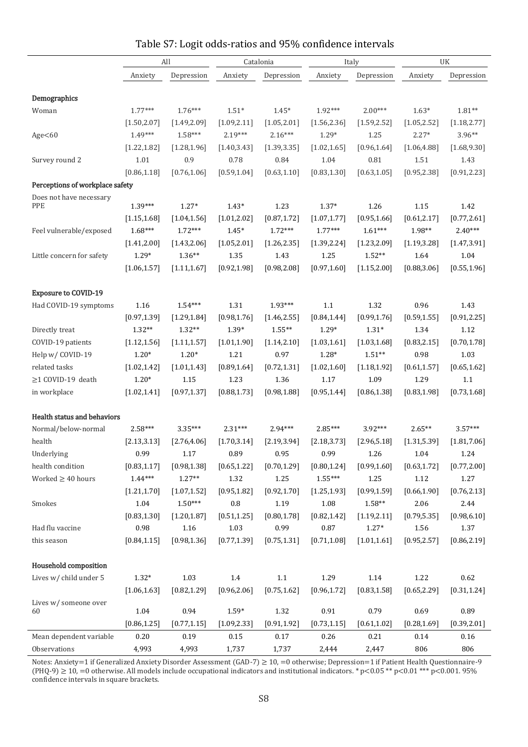|                                       | All                       |                         | Catalonia                 |                           | Italy                   |                      | UK                      |                          |
|---------------------------------------|---------------------------|-------------------------|---------------------------|---------------------------|-------------------------|----------------------|-------------------------|--------------------------|
|                                       | Anxiety                   | Depression              | Anxiety                   | Depression                | Anxiety                 | Depression           | Anxiety                 | Depression               |
|                                       |                           |                         |                           |                           |                         |                      |                         |                          |
| Demographics                          |                           |                         |                           | $1.45*$                   |                         |                      |                         |                          |
| Woman                                 | $1.77***$                 | $1.76***$               | $1.51*$                   |                           | 1.92***                 | $2.00***$            | $1.63*$                 | $1.81**$                 |
|                                       | [1.50, 2.07]<br>$1.49***$ | [1.49, 2.09]<br>1.58*** | [1.09, 2.11]<br>$2.19***$ | [1.05, 2.01]<br>$2.16***$ | [1.56, 2.36]<br>$1.29*$ | [1.59, 2.52]<br>1.25 | [1.05, 2.52]<br>$2.27*$ | [1.18, 2.77]<br>$3.96**$ |
| Age<60                                |                           |                         |                           |                           |                         |                      |                         |                          |
|                                       | [1.22, 1.82]<br>1.01      | [1.28, 1.96]<br>0.9     | [1.40, 3.43]<br>0.78      | [1.39, 3.35]<br>0.84      | [1.02, 1.65]<br>1.04    | [0.96, 1.64]<br>0.81 | [1.06, 4.88]<br>1.51    | [1.68, 9.30]<br>1.43     |
| Survey round 2                        | [0.86, 1.18]              | [0.76, 1.06]            | [0.59, 1.04]              | [0.63, 1.10]              | [0.83, 1.30]            |                      | [0.95, 2.38]            |                          |
|                                       |                           |                         |                           |                           |                         | [0.63, 1.05]         |                         | [0.91, 2.23]             |
| Perceptions of workplace safety       |                           |                         |                           |                           |                         |                      |                         |                          |
| Does not have necessary<br><b>PPE</b> | 1.39***                   | $1.27*$                 | $1.43*$                   | 1.23                      | $1.37*$                 | 1.26                 | 1.15                    | 1.42                     |
|                                       | [1.15, 1.68]              | [1.04, 1.56]            | [1.01, 2.02]              | [0.87, 1.72]              | [1.07, 1.77]            | [0.95, 1.66]         | [0.61, 2.17]            | [0.77, 2.61]             |
| Feel vulnerable/exposed               | $1.68***$                 | $1.72***$               | $1.45*$                   | $1.72***$                 | $1.77***$               | $1.61***$            | 1.98**                  | $2.40***$                |
|                                       | [1.41, 2.00]              | [1.43, 2.06]            | [1.05, 2.01]              | [1.26, 2.35]              | [1.39, 2.24]            | [1.23, 2.09]         | [1.19, 3.28]            | [1.47, 3.91]             |
| Little concern for safety             | $1.29*$                   | $1.36**$                | 1.35                      | 1.43                      | 1.25                    | $1.52**$             | 1.64                    | 1.04                     |
|                                       | [1.06, 1.57]              | [1.11, 1.67]            | [0.92, 1.98]              | [0.98, 2.08]              | [0.97, 1.60]            | [1.15, 2.00]         | [0.88, 3.06]            | [0.55, 1.96]             |
|                                       |                           |                         |                           |                           |                         |                      |                         |                          |
| <b>Exposure to COVID-19</b>           |                           |                         |                           |                           |                         |                      |                         |                          |
| Had COVID-19 symptoms                 | 1.16                      | $1.54***$               | 1.31                      | 1.93***                   | 1.1                     | 1.32                 | 0.96                    | 1.43                     |
|                                       | [0.97, 1.39]              | [1.29, 1.84]            | [0.98, 1.76]              | [1.46, 2.55]              | [0.84, 1.44]            | [0.99, 1.76]         | [0.59, 1.55]            | [0.91, 2.25]             |
| Directly treat                        | $1.32**$                  | $1.32**$                | $1.39*$                   | $1.55***$                 | $1.29*$                 | $1.31*$              | 1.34                    | $1.12\,$                 |
| COVID-19 patients                     | [1.12, 1.56]              | [1.11, 1.57]            | [1.01, 1.90]              | [1.14, 2.10]              | [1.03, 1.61]            | [1.03, 1.68]         | [0.83, 2.15]            | [0.70, 1.78]             |
| Help w/ COVID-19                      | $1.20*$                   | $1.20*$                 | 1.21                      | 0.97                      | $1.28*$                 | $1.51**$             | 0.98                    | 1.03                     |
| related tasks                         | [1.02, 1.42]              | [1.01, 1.43]            | [0.89, 1.64]              | [0.72, 1.31]              | [1.02, 1.60]            | [1.18, 1.92]         | [0.61, 1.57]            | [0.65, 1.62]             |
| $\geq$ 1 COVID-19 death               | $1.20*$                   | 1.15                    | 1.23                      | 1.36                      | 1.17                    | 1.09                 | 1.29                    | 1.1                      |
| in workplace                          | [1.02, 1.41]              | [0.97, 1.37]            | [0.88, 1.73]              | [0.98, 1.88]              | [0.95, 1.44]            | [0.86, 1.38]         | [0.83, 1.98]            | [0.73, 1.68]             |
|                                       |                           |                         |                           |                           |                         |                      |                         |                          |
| Health status and behaviors           |                           |                         |                           |                           |                         |                      |                         |                          |
| Normal/below-normal                   | $2.58***$                 | $3.35***$               | $2.31***$                 | $2.94***$                 | 2.85***                 | $3.92***$            | $2.65**$                | $3.57***$                |
| health                                | [2.13, 3.13]              | [2.76, 4.06]            | [1.70, 3.14]              | [2.19, 3.94]              | [2.18, 3.73]            | [2.96, 5.18]         | [1.31, 5.39]            | [1.81, 7.06]             |
| Underlying                            | 0.99                      | 1.17                    | 0.89                      | 0.95                      | 0.99                    | 1.26                 | 1.04                    | 1.24                     |
| health condition                      | [0.83, 1.17]              | [0.98, 1.38]            | [0.65, 1.22]              | [0.70, 1.29]              | [0.80, 1.24]            | [0.99, 1.60]         | [0.63, 1.72]            | [0.77, 2.00]             |
| Worked $\geq 40$ hours                | $1.44***$                 | $1.27**$                | 1.32                      | 1.25                      | $1.55***$               | 1.25                 | 1.12                    | 1.27                     |
|                                       | [1.21, 1.70]              | [1.07, 1.52]            | [0.95, 1.82]              | [0.92, 1.70]              | [1.25, 1.93]            | [0.99, 1.59]         | [0.66, 1.90]            | [0.76, 2.13]             |
| Smokes                                | 1.04                      | $1.50***$               | $0.8\,$                   | 1.19                      | 1.08                    | $1.58**$             | 2.06                    | 2.44                     |
|                                       | [0.83, 1.30]              | [1.20, 1.87]            | [0.51, 1.25]              | [0.80, 1.78]              | [0.82, 1.42]            | [1.19, 2.11]         | [0.79, 5.35]            | [0.98, 6.10]             |
| Had flu vaccine                       | 0.98                      | 1.16                    | 1.03                      | 0.99                      | 0.87                    | $1.27*$              | 1.56                    | 1.37                     |
| this season                           | [0.84, 1.15]              | [0.98, 1.36]            | [0.77, 1.39]              | [0.75, 1.31]              | [0.71, 1.08]            | [1.01, 1.61]         | [0.95, 2.57]            | [0.86, 2.19]             |
|                                       |                           |                         |                           |                           |                         |                      |                         |                          |
| Household composition                 |                           |                         |                           |                           |                         |                      |                         |                          |
| Lives w/ child under 5                | $1.32*$                   | 1.03                    | $1.4\,$                   | $1.1\,$                   | 1.29                    | $1.14\,$             | 1.22                    | $0.62\,$                 |
|                                       | [1.06, 1.63]              | [0.82, 1.29]            | [0.96, 2.06]              | [0.75, 1.62]              | [0.96, 1.72]            | [0.83, 1.58]         | [0.65, 2.29]            | [0.31, 1.24]             |
| Lives w/someone over<br>60            | 1.04                      | 0.94                    | $1.59*$                   | 1.32                      | 0.91                    | 0.79                 | 0.69                    | 0.89                     |
|                                       | [0.86, 1.25]              | [0.77, 1.15]            | [1.09, 2.33]              | [0.91, 1.92]              | [0.73, 1.15]            | [0.61, 1.02]         | [0.28, 1.69]            | [0.39, 2.01]             |
| Mean dependent variable               | 0.20                      | 0.19                    | $0.15\,$                  | $0.17\,$                  | 0.26                    | 0.21                 | 0.14                    | $0.16\,$                 |
| Observations                          | 4,993                     | 4,993                   | 1,737                     | 1,737                     | 2,444                   | 2,447                | 806                     | 806                      |

## Table S7: Logit odds-ratios and 95% confidence intervals

÷

Notes: Anxiety=1 if Generalized Anxiety Disorder Assessment (GAD-7) ≥ 10, =0 otherwise; Depression=1 if Patient Health Questionnaire-9 (PHQ-9)  $\geq 10$ , =0 otherwise. All models include occupational indicators and institutional indicators. \* p<0.05 \*\* p<0.01 \*\*\* p<0.001. 95% confidence intervals in square brackets.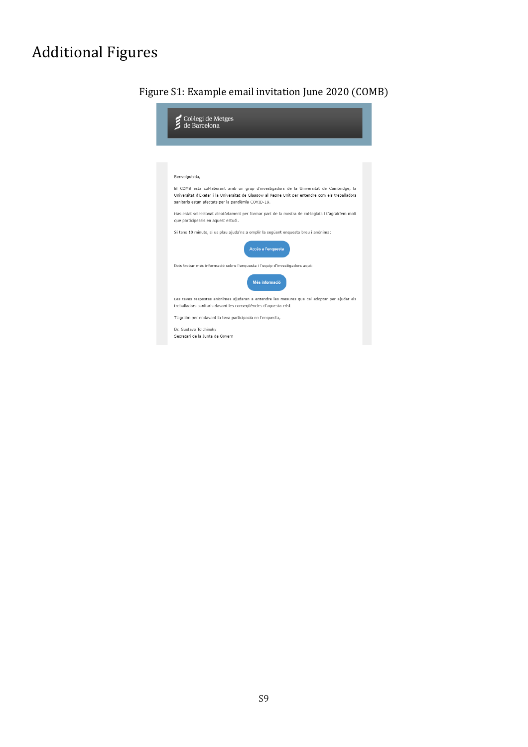# Additional Figures



## Figure S1: Example email invitation June 2020 (COMB)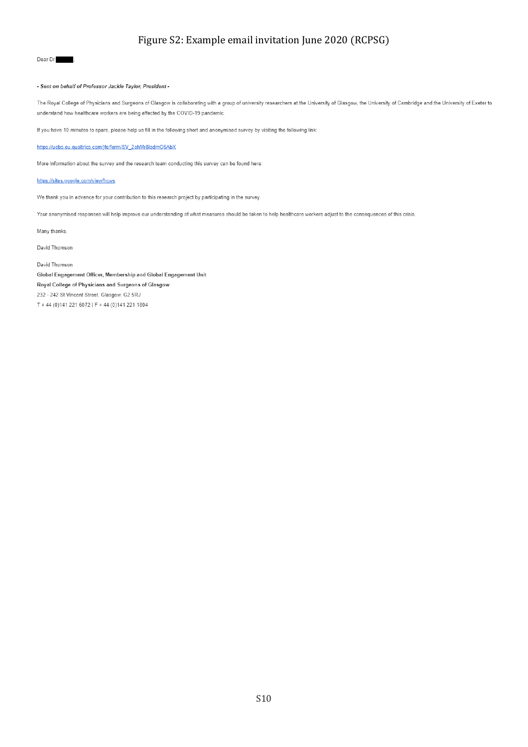## Figure S2: Example email invitation June 2020 (RCPSG)

#### Dear Dr

#### - Sent on behalf of Professor Jackie Taylor, President -

The Royal College of Physicians and Surgeons of Glasgow is collaborating with a group of university researchers at the University of Glasgow, the University of Cambridge and the University of Cambridge and the University o understand how healthcare workers are being affected by the COVID-19 pandemic.

If you have 10 minutes to spare, please help us fill in the following short and anonymised survey by visiting the following link:

https://uebs.eu.qualtrics.com/jfe/form/SV\_2ohMr8isdmO6AbX

More information about the survey and the research team conducting this survey can be found here:

#### https://sites.google.com/view/hcws

We thank you in advance for your contribution to this research project by participating in the survey.

Your anonymised responses will help improve our understanding of what measures should be taken to help healthcare workers adjust to the consequences of this crisis.

Many thanks,

David Thomson

David Thomson Global Engagement Officer, Membership and Global Engagement Unit Royal College of Physicians and Surgeons of Glasgow 232 - 242 St Vincent Street, Glasgow, G2 5RJ T + 44 (0)141 221 6072 | F + 44 (0)141 221 1804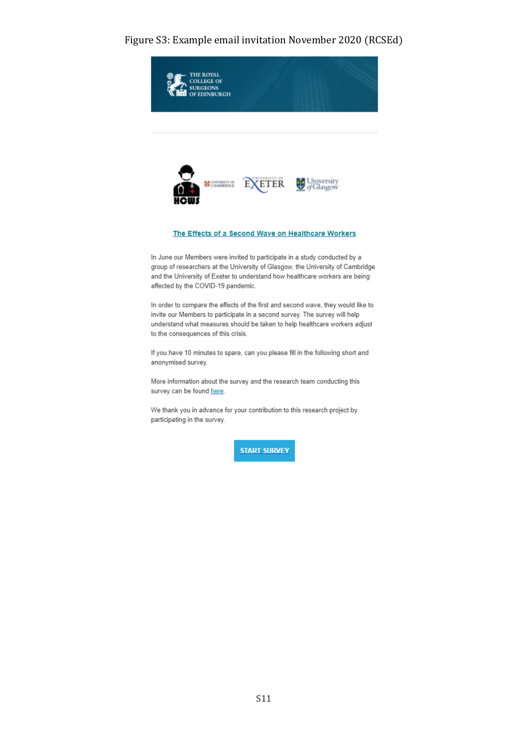#### Figure S3: Example email invitation November 2020 (RCSEd)



group of researchers at the University of Glasgow, the University of Cambridge and the University of Exeter to understand how healthcare workers are being affected by the COVID-19 pandemic.

In order to compare the effects of the first and second wave, they would like to invite our Members to participate in a second survey. The survey will help understand what measures should be taken to help healthcare workers adjust to the consequences of this crisis.

If you have 10 minutes to spare, can you please fill in the following short and anonymised survey.

More information about the survey and the research team conducting this survey can be found here.

We thank you in advance for your contribution to this research project by participating in the survey.

**START SURVEY**